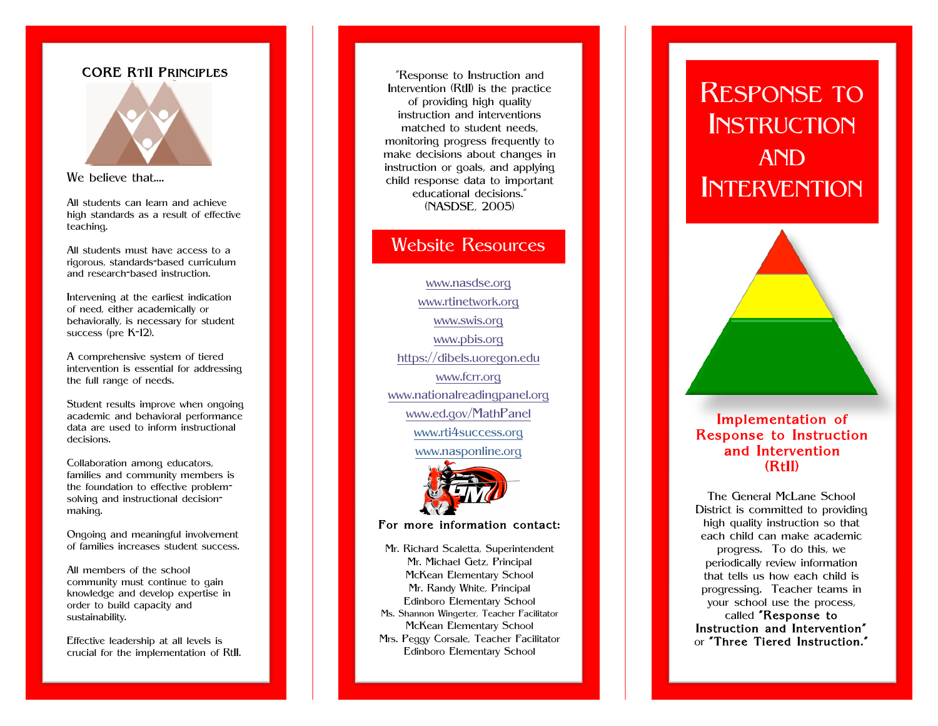# CORE RTII PRINCIPLES



### We believe that....

All students can learn and achieve high standards as a result of effective teaching.

All students must have access to a rigorous, standards -based curriculum and research -based instruction.

Intervening at the earliest indication of need, either academically or behaviorally, is necessary for student success (pre K-12).

A comprehensive system of tiered intervention is essential for addressing the full range of needs.

Student results improve when ongoing academic and behavioral performance data are used to inform instructional decisions.

Collaboration among educators, families and community members is the foundation to effective problemsolving and instructional decisionmaking.

Ongoing and meaningful involvement of families increases student success.

All members of the school community must continue to gain knowledge and develop expertise in order to build capacity and sustainability.

Effective leadership at all levels is crucial for the implementation of RtII.

"Response to Instruction and Intervention (RtII) is the practice of providing high quality instruction and interventions matched to student needs, monitoring progress frequently to make decisions about changes in instruction or goals, and applying child response data to important educational decisions." (NASDSE, 2005)

# Website Resources

www.nasdse.org www.rtinetwork.org www.swis.org www.pbis.org https://dibels.uoregon.edu www.fcrr.org www.nationalreadingpanel.org www.ed.gov/MathPanel www.rti4success.org www.nasponline.org



### For more information contact:

Mr. Richard Scaletta, Superintendent Mr. Michael Getz, Principal McKean Elementary School Mr. Randy White, Principal Edinboro Elementary School Ms . Shannon Wingerter, Teacher Facilitator McKean Elementary School Mrs. Peggy Corsale, Teacher Facilitator Edinboro Elementary School

# RESPONSE TO<br>INSTRUCTION AND INTERVENTION

# Implementation of Response to Instruction and Intervention (RtII)

The General McLane School District is committed to providing high quality instruction so that each child can make academic progress. To do this, we periodically review information that tells us how each child is progressing. Teacher teams in your school use the process, called "Response to Instruction and Intervention" or "Three Tiered Instruction."